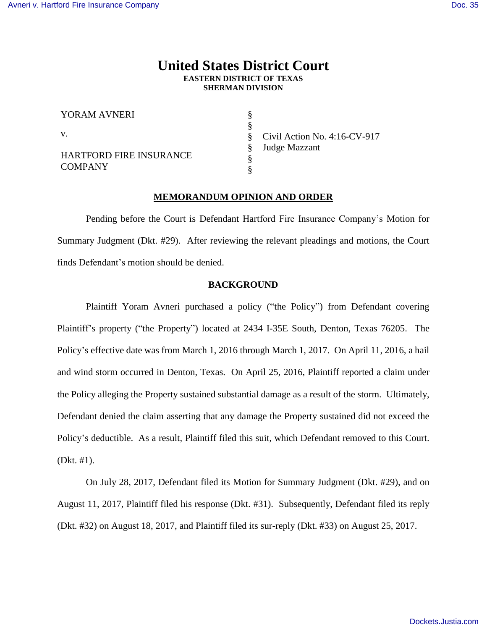# **United States District Court EASTERN DISTRICT OF TEXAS SHERMAN DIVISION**

§ § § § § §

| YORAM AVNERI                                     |  |
|--------------------------------------------------|--|
| V.                                               |  |
| <b>HARTFORD FIRE INSURANCE</b><br><b>COMPANY</b> |  |

Civil Action No. 4:16-CV-917 Judge Mazzant

### **MEMORANDUM OPINION AND ORDER**

Pending before the Court is Defendant Hartford Fire Insurance Company's Motion for Summary Judgment (Dkt. #29). After reviewing the relevant pleadings and motions, the Court finds Defendant's motion should be denied.

### **BACKGROUND**

Plaintiff Yoram Avneri purchased a policy ("the Policy") from Defendant covering Plaintiff's property ("the Property") located at 2434 I-35E South, Denton, Texas 76205. The Policy's effective date was from March 1, 2016 through March 1, 2017. On April 11, 2016, a hail and wind storm occurred in Denton, Texas. On April 25, 2016, Plaintiff reported a claim under the Policy alleging the Property sustained substantial damage as a result of the storm. Ultimately, Defendant denied the claim asserting that any damage the Property sustained did not exceed the Policy's deductible. As a result, Plaintiff filed this suit, which Defendant removed to this Court. (Dkt. #1).

On July 28, 2017, Defendant filed its Motion for Summary Judgment (Dkt. #29), and on August 11, 2017, Plaintiff filed his response (Dkt. #31). Subsequently, Defendant filed its reply (Dkt. #32) on August 18, 2017, and Plaintiff filed its sur-reply (Dkt. #33) on August 25, 2017.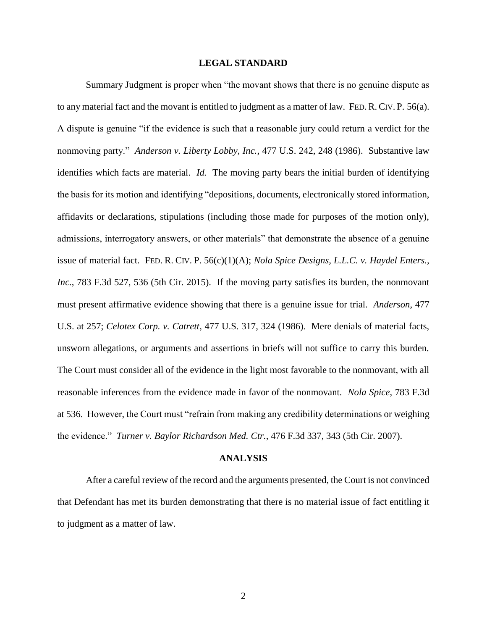#### **LEGAL STANDARD**

Summary Judgment is proper when "the movant shows that there is no genuine dispute as to any material fact and the movant is entitled to judgment as a matter of law. FED.R.CIV. P. 56(a). A dispute is genuine "if the evidence is such that a reasonable jury could return a verdict for the nonmoving party." *Anderson v. Liberty Lobby, Inc.*, 477 U.S. 242, 248 (1986). Substantive law identifies which facts are material. *Id.* The moving party bears the initial burden of identifying the basis for its motion and identifying "depositions, documents, electronically stored information, affidavits or declarations, stipulations (including those made for purposes of the motion only), admissions, interrogatory answers, or other materials" that demonstrate the absence of a genuine issue of material fact. FED. R. CIV. P. 56(c)(1)(A); *Nola Spice Designs, L.L.C. v. Haydel Enters., Inc.*, 783 F.3d 527, 536 (5th Cir. 2015). If the moving party satisfies its burden, the nonmovant must present affirmative evidence showing that there is a genuine issue for trial. *Anderson*, 477 U.S. at 257; *Celotex Corp. v. Catrett*, 477 U.S. 317, 324 (1986). Mere denials of material facts, unsworn allegations, or arguments and assertions in briefs will not suffice to carry this burden. The Court must consider all of the evidence in the light most favorable to the nonmovant, with all reasonable inferences from the evidence made in favor of the nonmovant. *Nola Spice*, 783 F.3d at 536. However, the Court must "refrain from making any credibility determinations or weighing the evidence." *Turner v. Baylor Richardson Med. Ctr.*, 476 F.3d 337, 343 (5th Cir. 2007).

#### **ANALYSIS**

After a careful review of the record and the arguments presented, the Court is not convinced that Defendant has met its burden demonstrating that there is no material issue of fact entitling it to judgment as a matter of law.